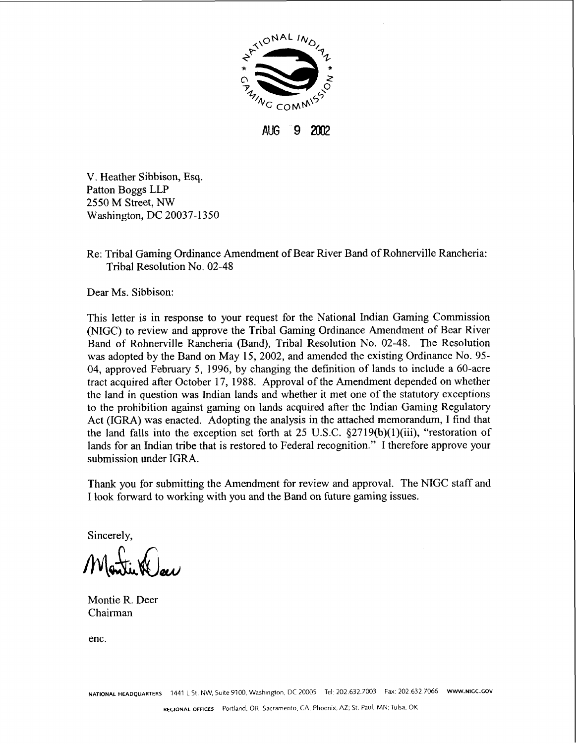

**AUG 9 2002** 

V. Heather Sibbison, Esq. Patton Boggs LLP 2550 M Street, NW Washington, DC 20037-1350

Re: Tribal Gaming Ordinance Amendment of Bear River Band of Rohnerville Rancheria: Tribal Resolution No. 02-48

Dear Ms. Sibbison:

This letter is in response to your request for the National Indian Gaming Commission (NIGC) to review and approve the Tribal Gaming Ordinance Amendment of Bear River Band of Rohnerville Rancheria (Band), Tribal Resolution No. 02-48. The Resolution was adopted by the Band on May 15, 2002, and amended the existing Ordinance No. 95- 04, approved February 5, 1996, by changing the definition of lands to include a 60-acre tract acquired after October 17, 1988. Approval of the Amendment depended on whether the land in question was Indian lands and whether it met one of the statutory exceptions to the prohibition against gaming on lands acquired after the Indian Gaming Regulatory Act (IGRA) was enacted. Adopting the analysis in the attached memorandum, I find that the land falls into the exception set forth at 25 U.S.C.  $\S 2719(b)(1)(iii)$ , "restoration of lands for an Indian tribe that is restored to Federal recognition." I therefore approve your submission under IGRA.

Thank you for submitting the Amendment for review and approval. The **NlGC** staff and I look forward to working with you and the Band on future gaming issues.

Sincerely,

Montie R. Deer Chairman

enc.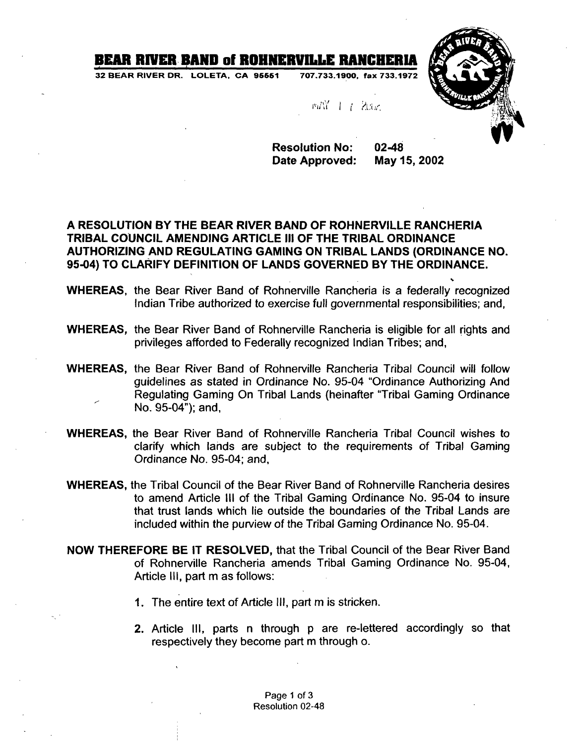## BEAR RIVER BAND of ROHNERVILLE RANCHERIA

**32 BEAR RIVER DR. LOLETA. CA 96661 707.733.1900, fax 733.1972** 



**s** 

MAY 1 1 2000

**Resolution No: 02-48**  Date Approved: May 15, 2002

## **A RESOLUTION BY THE BEAR RIVER BAND OF ROHNERVILLE RANCHERIA TRIBAL COUNCIL AMENDING ARTICLE Ill OF THE TRIBAL ORDINANCE AUTHORIZING AND REGULATING GAMING ON TRIBAL LANDS (ORDINANCE NO. 95-04) TO CLARIFY DEFINITION OF LANDS GOVERNED BY THE ORDINANCE.**

- **WHEREAS,** the Bear River Band of Rohnerville Rancheria is a federally recognized Indian Tribe authorized to exercise full governmental responsibilities; and,
- **WHEREAS,** the Bear River Band of Rohnerville Rancheria is eligible for all rights and privileges afforded to Federally recognized Indian Tribes; and,
- **WHEREAS,** the Bear River Band of Rohnerville Rancheria Tribal Council will follow guidelines as stated in Ordinance No. 95-04 "Ordinance Authorizing And Regulating Gaming On Tribal Lands (heinafter "Tribal Gaming Ordinance No. 95-04"); and,
- **WHEREAS,** the Bear River Band of Rohnerville Rancheria Tribal Council wishes to clarify which lands are subject to the requirements of Tribal Gaming Ordinance No. 95-04; and,
- **WHEREAS,** the Tribal Council of the Bear River Band of Rohnerville Rancheria desires to amend Article Ill of the Tribal Gaming Ordinance No. 95-04 to insure that trust lands which lie outside the boundaries of the Tribal Lands are included within the purview of the Tribal Gaming Ordinance No. 95-04.
- **NOW THEREFORE BE IT RESOLVED,** that the Tribal Council of the Bear River Band of Rohnerville Rancheria amends Tribal Gaming Ordinance No. 95-04, Article III, part m as follows:
	- **1.** The entire text of Article Ill, part m is stricken.
	- **2.** Article Ill, parts n through p are re-lettered accordingly so that respectively they become part m through o.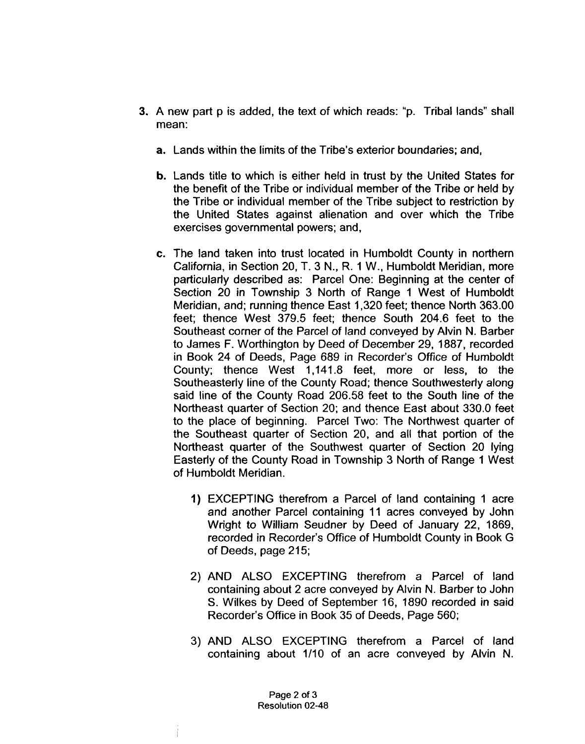- 3. A new part p is added, the text of which reads: "p. Tribal lands" shall mean:
	- **a.** Lands within the limits of the Tribe's exterior boundaries; and,
	- **b.** Lands title to which is either held in trust by the United States for the benefit of the Tribe or individual member of the Tribe or held by the Tribe or individual member of the Tribe subject to restriction by the United States against alienation and over which the Tribe exercises governmental powers; and,
	- **c.** The land taken into trust located in Humboldt County in northern California, in Section 20, T. 3 N., R. 1 W., Humboldt Meridian, more particularly described as: Parcel One: Beginning at the center of Section 20 in Township 3 North of Range 1 West of Humboldt Meridian, and; running thence East 1,320 feet; thence North 363.00 feet; thence West 379.5 feet; thence South 204.6 feet to the Southeast corner of the Parcel of land conveyed by Alvin N. Barber to James F. Worthington by Deed of December 29, 1887, recorded in Book 24 of Deeds, Page 689 in Recorder's Office of Humboldt County; thence West 1,141.8 feet, more or less, to the Southeasterly line of the County Road; thence Southwesterly along said line of the County Road 206.58 feet to the South line of the Northeast quarter of Section 20; and thence East about 330.0 feet to the place of beginning. Parcel Two: The Northwest quarter of the Southeast quarter of Section 20, and all that portion of the Northeast quarter of the Southwest quarter of Section 20 lying Easterly of the County Road in Township 3 North of Range 1 West of Humboldt Meridian.
		- **1)** EXCEPTING therefrom a Parcel of land containing 1 acre and another Parcel containing I1 acres conveyed by John Wright to William Seudner by Deed of January 22, 1869, recorded in Recorder's Office of Humboldt County in Book G of Deeds, page 215;
		- 2) AND ALSO EXCEPTING therefrom a Parcel of land containing about 2 acre conveyed by Alvin N. Barber to John S. Wilkes by Deed of September 16, 1890 recorded in said Recorder's Office in Book 35 of Deeds, Page 560;
		- 3) AND ALSO EXCEPTING therefrom a Parcel of land containing about 1/10 of an acre conveyed by Alvin N.